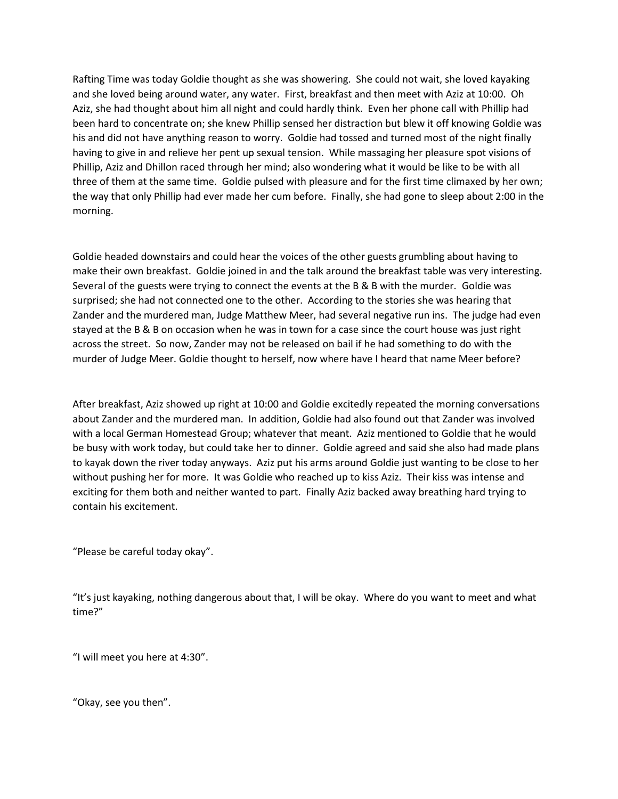Rafting Time was today Goldie thought as she was showering. She could not wait, she loved kayaking and she loved being around water, any water. First, breakfast and then meet with Aziz at 10:00. Oh Aziz, she had thought about him all night and could hardly think. Even her phone call with Phillip had been hard to concentrate on; she knew Phillip sensed her distraction but blew it off knowing Goldie was his and did not have anything reason to worry. Goldie had tossed and turned most of the night finally having to give in and relieve her pent up sexual tension. While massaging her pleasure spot visions of Phillip, Aziz and Dhillon raced through her mind; also wondering what it would be like to be with all three of them at the same time. Goldie pulsed with pleasure and for the first time climaxed by her own; the way that only Phillip had ever made her cum before. Finally, she had gone to sleep about 2:00 in the morning.

Goldie headed downstairs and could hear the voices of the other guests grumbling about having to make their own breakfast. Goldie joined in and the talk around the breakfast table was very interesting. Several of the guests were trying to connect the events at the B & B with the murder. Goldie was surprised; she had not connected one to the other. According to the stories she was hearing that Zander and the murdered man, Judge Matthew Meer, had several negative run ins. The judge had even stayed at the B & B on occasion when he was in town for a case since the court house was just right across the street. So now, Zander may not be released on bail if he had something to do with the murder of Judge Meer. Goldie thought to herself, now where have I heard that name Meer before?

After breakfast, Aziz showed up right at 10:00 and Goldie excitedly repeated the morning conversations about Zander and the murdered man. In addition, Goldie had also found out that Zander was involved with a local German Homestead Group; whatever that meant. Aziz mentioned to Goldie that he would be busy with work today, but could take her to dinner. Goldie agreed and said she also had made plans to kayak down the river today anyways. Aziz put his arms around Goldie just wanting to be close to her without pushing her for more. It was Goldie who reached up to kiss Aziz. Their kiss was intense and exciting for them both and neither wanted to part. Finally Aziz backed away breathing hard trying to contain his excitement.

"Please be careful today okay".

"It's just kayaking, nothing dangerous about that, I will be okay. Where do you want to meet and what time?"

"I will meet you here at 4:30".

͞Okay, see you then͟.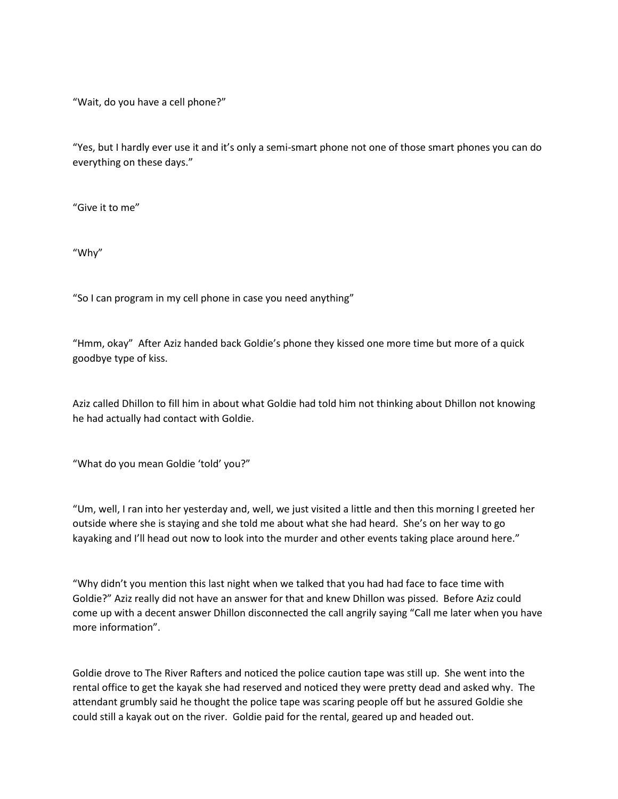"Wait, do you have a cell phone?"

"Yes, but I hardly ever use it and it's only a semi-smart phone not one of those smart phones you can do everything on these days."

"Give it to me"

"Why"

"So I can program in my cell phone in case you need anything"

"Hmm, okay" After Aziz handed back Goldie's phone they kissed one more time but more of a quick goodbye type of kiss.

Aziz called Dhillon to fill him in about what Goldie had told him not thinking about Dhillon not knowing he had actually had contact with Goldie.

"What do you mean Goldie 'told' you?"

"Um, well, I ran into her yesterday and, well, we just visited a little and then this morning I greeted her outside where she is staying and she told me about what she had heard. She's on her way to go kayaking and I'll head out now to look into the murder and other events taking place around here."

"Why didn't you mention this last night when we talked that you had had face to face time with Goldie?" Aziz really did not have an answer for that and knew Dhillon was pissed. Before Aziz could come up with a decent answer Dhillon disconnected the call angrily saying "Call me later when you have more information".

Goldie drove to The River Rafters and noticed the police caution tape was still up. She went into the rental office to get the kayak she had reserved and noticed they were pretty dead and asked why. The attendant grumbly said he thought the police tape was scaring people off but he assured Goldie she could still a kayak out on the river. Goldie paid for the rental, geared up and headed out.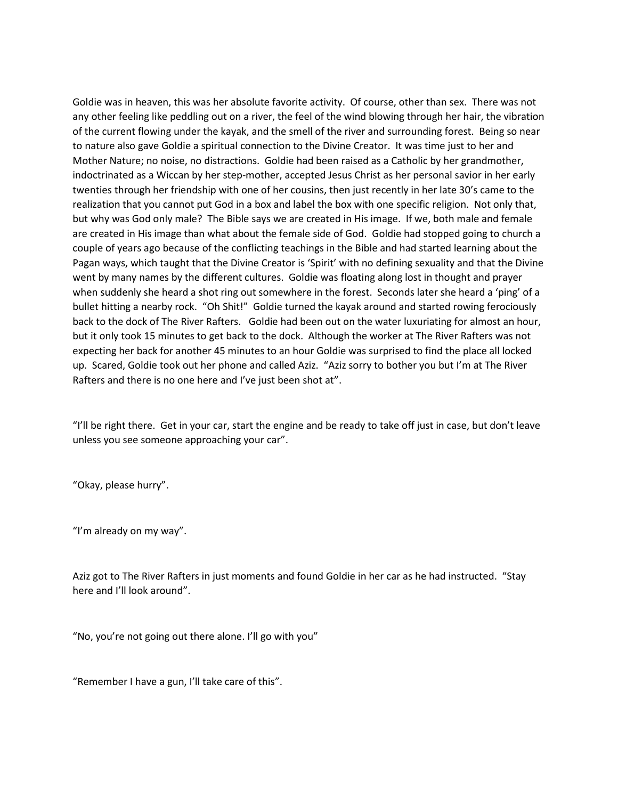Goldie was in heaven, this was her absolute favorite activity. Of course, other than sex. There was not any other feeling like peddling out on a river, the feel of the wind blowing through her hair, the vibration of the current flowing under the kayak, and the smell of the river and surrounding forest. Being so near to nature also gave Goldie a spiritual connection to the Divine Creator. It was time just to her and Mother Nature; no noise, no distractions. Goldie had been raised as a Catholic by her grandmother, indoctrinated as a Wiccan by her step-mother, accepted Jesus Christ as her personal savior in her early twenties through her friendship with one of her cousins, then just recently in her late 30's came to the realization that you cannot put God in a box and label the box with one specific religion. Not only that, but why was God only male? The Bible says we are created in His image. If we, both male and female are created in His image than what about the female side of God. Goldie had stopped going to church a couple of years ago because of the conflicting teachings in the Bible and had started learning about the Pagan ways, which taught that the Divine Creator is 'Spirit' with no defining sexuality and that the Divine went by many names by the different cultures. Goldie was floating along lost in thought and prayer when suddenly she heard a shot ring out somewhere in the forest. Seconds later she heard a 'ping' of a bullet hitting a nearby rock. "Oh Shit!" Goldie turned the kayak around and started rowing ferociously back to the dock of The River Rafters. Goldie had been out on the water luxuriating for almost an hour, but it only took 15 minutes to get back to the dock. Although the worker at The River Rafters was not expecting her back for another 45 minutes to an hour Goldie was surprised to find the place all locked up. Scared, Goldie took out her phone and called Aziz. "Aziz sorry to bother you but I'm at The River Rafters and there is no one here and I've just been shot at".

"I'll be right there. Get in your car, start the engine and be ready to take off just in case, but don't leave unless you see someone approaching your car".

"Okay, please hurry".

"I'm already on my way".

Aziz got to The River Rafters in just moments and found Goldie in her car as he had instructed. "Stay here and I'll look around".

"No, you're not going out there alone. I'll go with you"

"Remember I have a gun, I'll take care of this".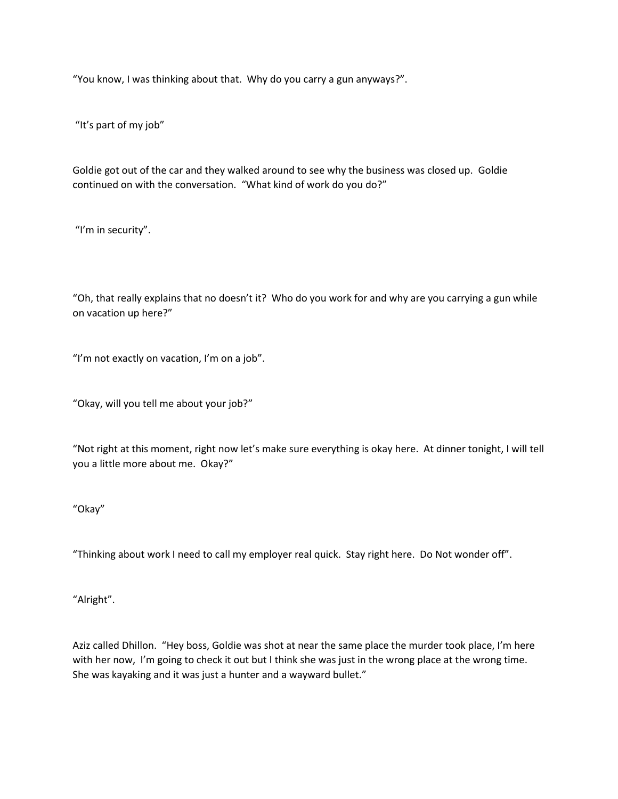"You know, I was thinking about that. Why do you carry a gun anyways?".

"It's part of my job"

Goldie got out of the car and they walked around to see why the business was closed up. Goldie continued on with the conversation. "What kind of work do you do?"

"I'm in security".

"Oh, that really explains that no doesn't it? Who do you work for and why are you carrying a gun while on vacation up here?"

"I'm not exactly on vacation, I'm on a job".

"Okay, will you tell me about your job?"

"Not right at this moment, right now let's make sure everything is okay here. At dinner tonight, I will tell you a little more about me. Okay?"

"Okay"

"Thinking about work I need to call my employer real quick. Stay right here. Do Not wonder off".

"Alright".

Aziz called Dhillon. "Hey boss, Goldie was shot at near the same place the murder took place, I'm here with her now, I'm going to check it out but I think she was just in the wrong place at the wrong time. She was kayaking and it was just a hunter and a wayward bullet."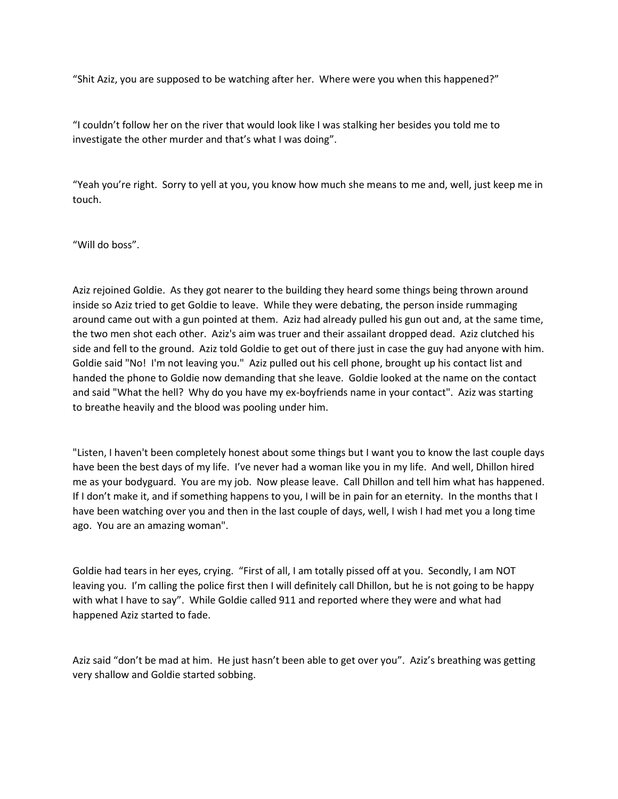"Shit Aziz, you are supposed to be watching after her. Where were you when this happened?"

"I couldn't follow her on the river that would look like I was stalking her besides you told me to investigate the other murder and that's what I was doing".

"Yeah you're right. Sorry to yell at you, you know how much she means to me and, well, just keep me in touch.

"Will do boss".

Aziz rejoined Goldie. As they got nearer to the building they heard some things being thrown around inside so Aziz tried to get Goldie to leave. While they were debating, the person inside rummaging around came out with a gun pointed at them. Aziz had already pulled his gun out and, at the same time, the two men shot each other. Aziz's aim was truer and their assailant dropped dead. Aziz clutched his side and fell to the ground. Aziz told Goldie to get out of there just in case the guy had anyone with him. Goldie said "No! I'm not leaving you." Aziz pulled out his cell phone, brought up his contact list and handed the phone to Goldie now demanding that she leave. Goldie looked at the name on the contact and said "What the hell? Why do you have my ex-boyfriends name in your contact". Aziz was starting to breathe heavily and the blood was pooling under him.

"Listen, I haven't been completely honest about some things but I want you to know the last couple days have been the best days of my life. I've never had a woman like you in my life. And well, Dhillon hired me as your bodyguard. You are my job. Now please leave. Call Dhillon and tell him what has happened. If I don't make it, and if something happens to you, I will be in pain for an eternity. In the months that I have been watching over you and then in the last couple of days, well, I wish I had met you a long time ago. You are an amazing woman".

Goldie had tears in her eyes, crying. "First of all, I am totally pissed off at you. Secondly, I am NOT leaving you. I'm calling the police first then I will definitely call Dhillon, but he is not going to be happy with what I have to say". While Goldie called 911 and reported where they were and what had happened Aziz started to fade.

Aziz said "don't be mad at him. He just hasn't been able to get over you". Aziz's breathing was getting very shallow and Goldie started sobbing.